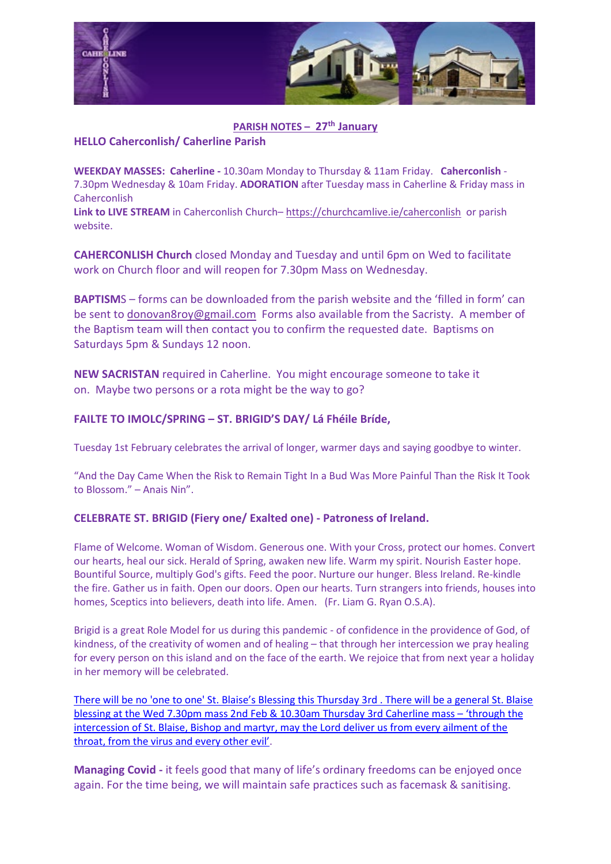

## **PARISH NOTES – 27th January**

## **HELLO Caherconlish/ Caherline Parish**

**WEEKDAY MASSES: Caherline -** 10.30am Monday to Thursday & 11am Friday. **Caherconlish** - 7.30pm Wednesday & 10am Friday. **ADORATION** after Tuesday mass in Caherline & Friday mass in Caherconlish

**Link to LIVE STREAM** in Caherconlish Church– <https://churchcamlive.ie/caherconlish>or parish website.

**CAHERCONLISH Church** closed Monday and Tuesday and until 6pm on Wed to facilitate work on Church floor and will reopen for 7.30pm Mass on Wednesday.

**BAPTISM**S – forms can be downloaded from the parish website and the 'filled in form' can be sent to [donovan8roy@gmail.com](mailto:donovan8roy@gmail.com) Forms also available from the Sacristy. A member of the Baptism team will then contact you to confirm the requested date. Baptisms on Saturdays 5pm & Sundays 12 noon.

**NEW SACRISTAN** required in Caherline. You might encourage someone to take it on. Maybe two persons or a rota might be the way to go?

## **FAILTE TO IMOLC/SPRING – ST. BRIGID'S DAY/ Lá Fhéile Bríde,**

Tuesday 1st February celebrates the arrival of longer, warmer days and saying goodbye to winter.

"And the Day Came When the Risk to Remain Tight In a Bud Was More Painful Than the Risk It Took to Blossom." – Anais Nin".

## **CELEBRATE ST. BRIGID (Fiery one/ Exalted one) - Patroness of Ireland.**

Flame of Welcome. Woman of Wisdom. Generous one. With your Cross, protect our homes. Convert our hearts, heal our sick. Herald of Spring, awaken new life. Warm my spirit. Nourish Easter hope. Bountiful Source, multiply God's gifts. Feed the poor. Nurture our hunger. Bless Ireland. Re-kindle the fire. Gather us in faith. Open our doors. Open our hearts. Turn strangers into friends, houses into homes, Sceptics into believers, death into life. Amen. (Fr. Liam G. Ryan O.S.A).

Brigid is a great Role Model for us during this pandemic - of confidence in the providence of God, of kindness, of the creativity of women and of healing – that through her intercession we pray healing for every person on this island and on the face of the earth. We rejoice that from next year a holiday in her memory will be celebrated.

[There will be no 'one to one' St. Blaise's Blessing this Thursday 3rd . There will be a general St. Blaise](http://www.ccpp.ie/forms/st_brigid__002_.pdf)  [blessing at the Wed 7.30pm mass 2nd Feb & 10.30am Thursday 3rd Caherline mass –](http://www.ccpp.ie/forms/st_brigid__002_.pdf) 'through the [intercession of St. Blaise, Bishop and martyr, may the Lord deliver us from every ailment of the](http://www.ccpp.ie/forms/st_brigid__002_.pdf)  [throat, from the virus and every other evil'.](http://www.ccpp.ie/forms/st_brigid__002_.pdf)

**Managing Covid -** it feels good that many of life's ordinary freedoms can be enjoyed once again. For the time being, we will maintain safe practices such as facemask & sanitising.